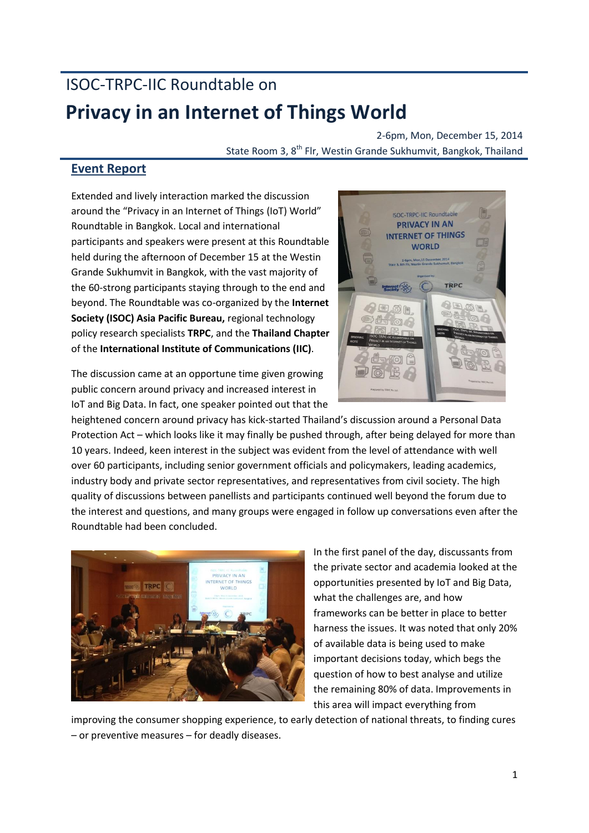## ISOC-TRPC-IIC Roundtable on **Privacy in an Internet of Things World**

2-6pm, Mon, December 15, 2014 State Room 3, 8<sup>th</sup> Flr, Westin Grande Sukhumvit, Bangkok, Thailand

## **Event Report**

Extended and lively interaction marked the discussion around the "Privacy in an Internet of Things (IoT) World" Roundtable in Bangkok. Local and international participants and speakers were present at this Roundtable held during the afternoon of December 15 at the Westin Grande Sukhumvit in Bangkok, with the vast majority of the 60-strong participants staying through to the end and beyond. The Roundtable was co-organized by the **Internet Society (ISOC) Asia Pacific Bureau,** regional technology policy research specialists **TRPC**, and the **Thailand Chapter**  of the **International Institute of Communications (IIC)**.



The discussion came at an opportune time given growing public concern around privacy and increased interest in IoT and Big Data. In fact, one speaker pointed out that the

heightened concern around privacy has kick-started Thailand's discussion around a Personal Data Protection Act – which looks like it may finally be pushed through, after being delayed for more than 10 years. Indeed, keen interest in the subject was evident from the level of attendance with well over 60 participants, including senior government officials and policymakers, leading academics, industry body and private sector representatives, and representatives from civil society. The high quality of discussions between panellists and participants continued well beyond the forum due to the interest and questions, and many groups were engaged in follow up conversations even after the Roundtable had been concluded.



In the first panel of the day, discussants from the private sector and academia looked at the opportunities presented by IoT and Big Data, what the challenges are, and how frameworks can be better in place to better harness the issues. It was noted that only 20% of available data is being used to make important decisions today, which begs the question of how to best analyse and utilize the remaining 80% of data. Improvements in this area will impact everything from

improving the consumer shopping experience, to early detection of national threats, to finding cures – or preventive measures – for deadly diseases.